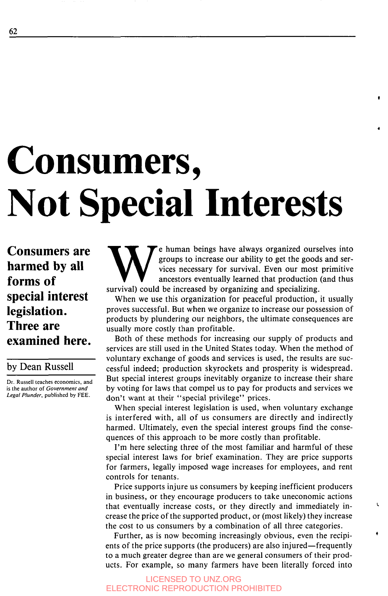## **62**

# **Consumers, Not Special Interests**

**Consumers are harmed by all forms of special interest legislation. Three are examined here.** 

by Dean Russell

**Dr. Russell** teaches economics, and is the author of *Government and Legal Plunder,* published by FEE.

e human beings have always organized ourselves into groups to increase our ability to get the goods and services necessary for survival. Even our most primitive ancestors eventually learned that production (and thus survival) could be increased by organizing and specializing.

**4** 

I

+

When we use this organization for peaceful production, it usually proves successful. But when we organize to increase our possession of products by plundering our neighbors, the ultimate consequences are usually more costly than profitable.

Both of these methods for increasing our supply of products and services are still used in the United States today. When the method of voluntary exchange of goods and services is used, the results are successful indeed; production skyrockets and prosperity is widespread. But special interest groups inevitably organize to increase their share by voting for laws that compel us to pay for products and services we don't want at their "special privilege" prices.

When special interest legislation is used, when voluntary exchange is interfered with, all of us consumers are directly and indirectly harmed. Ultimately, even the special interest groups find the consequences of this approach to be more costly than profitable.

**I'm** here selecting three of the most familiar and harmful of these special interest laws for brief examination. They are price supports for farmers, legally imposed wage increases for employees, and rent controls for tenants.

Price supports injure us consumers by keeping inefficient producers in business, or they encourage producers to take uneconomic actions that eventually increase costs, or they directly and immediately increase the price of the supported product, or (most likely) they increase the cost to us consumers by a combination of all three categories.

Further, as is now becoming increasingly obvious, even the recipients of the price supports (the producers) are also injured—frequently to a much greater degree than are we general consumers of their products. For example, so many farmers have been literally forced into

LICENSED TO UNZ.ORG ELECTRONIC REPRODUCTION PROHIBITED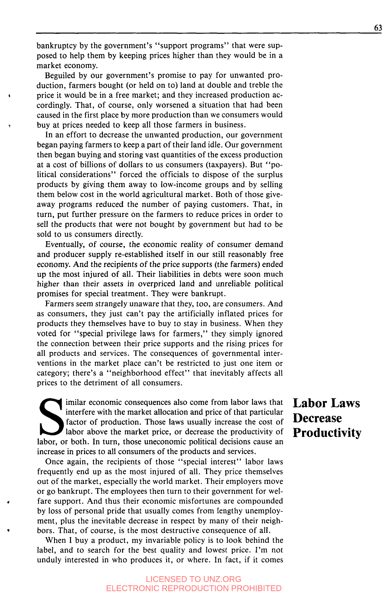bankruptcy by the government's "support programs" that were supposed to help them by keeping prices higher than they would be in a market economy.

Beguiled by our government's promise to pay for unwanted production, farmers bought (or held on to) land at double and treble the cordingly. That, of course, only worsened a situation that had been caused in the first place by more production than we consumers would **4** price it would be in a free market; and they increased production acbuy at prices needed to keep all those farmers in business.

In an effort to decrease the unwanted production, our government began paying farmers to keep a part of their land idle. Our government then began buying and storing vast quantities of the excess production at a cost of billions of dollars to us consumers (taxpayers). But "political considerations" forced the officials to dispose of the surplus products by giving them away to low-income groups and by selling them below cost in the world agricultural market. Both of those giveaway programs reduced the number of paying customers. That, in turn, put further pressure on the farmers to reduce prices in order to sell the products that were not bought by government but had to be sold to us consumers directly.

Eventually, of course, the economic reality of consumer demand and producer supply re-established itself in our still reasonably free economy. And the recipients of the price supports (the farmers) ended up the most injured of all. Their liabilities in debts were soon much higher than their assets in overpriced land and unreliable political promises for special treatment. They were bankrupt.

Farmers seem strangely unaware that they, too, are consumers. And as consumers, they just can't pay the artificially inflated prices for products they themselves have to buy to stay in business. When they voted for "special privilege laws for farmers," they simply ignored the connection between their price supports and the rising prices for all products and services. The consequences of governmental interventions in the market place can't be restricted to just one item or category; there's a "neighborhood effect" that inevitably affects all prices to the detriment of all consumers.

imilar economic consequences also come from labor laws that interfere with the market allocation and price of that particular factor of production. Those laws usually increase the cost of **Decrease** labor above the market price, or decrease the productivity of **Productivity** Imilar economic consequences also come from labor laws that **Labor Laws** interfere with the market allocation and price of that particular factor of production. Those laws usually increase the cost of **Productivity** labor, increase in prices to all consumers of the products and services.

Once again, the recipients of those "special interest" labor laws frequently end up as the most injured of all. They price themselves out of the market, especially the world market. Their employers move or go bankrupt. The employees then turn to their government for welby loss of personal pride that usually comes from lengthy unemployment, plus the inevitable decrease in respect by many of their neighfare support. And thus their economic misfortunes are compounded bors. That, of course, is the most destructive consequence of all.

When I buy a product, my invariable policy is to look behind the label, and to search for the best quality and lowest price. I'm not unduly interested in who produces it, or where. In fact, if it comes

### LICENSED TO UNZ.ORG ELECTRONIC REPRODUCTION PROHIBITED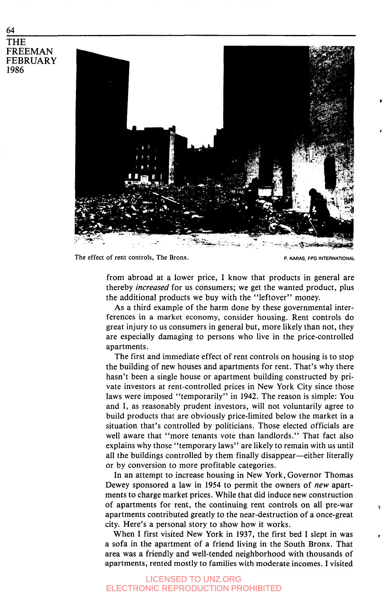**64 THE FREEMAN FEBRUARY 1986** 



**The effect of rent controls, The Bronx. P. KARAS. FPG INTERNATIONAL** 

from abroad at a lower price, I know that products in general are thereby *increased* for us consumers; we get the wanted product, plus the additional products we buy with the "leftover" money.

**As** a third example of the harm done by these governmental interferences in a market economy, consider housing. Rent controls do great injury to us consumers in general but, more likely than not, they are especially damaging to persons who live in the price-controlled apartments.

The first and immediate effect of rent controls on housing is to stop the building of new houses and apartments for rent. That's why there hasn't been a single house or apartment building constructed by private investors at rent-controlled prices in New York City since those laws were imposed "temporarily" in **1942.** The reason is simple: You and I, as reasonably prudent investors, will not voluntarily agree to build products that are obviously price-limited below the market in a situation that's controlled by politicians. Those elected officials are well aware that "more tenants vote than landlords." That fact also explains why those "temporary laws" are likely to remain with us until all the buildings controlled by them finally disappear—either literally or by conversion to more profitable categories.

In an attempt to increase housing in New York, Governor Thomas Dewey sponsored a law in **1954** to permit the owners of *new* apartments to charge market prices. While that did induce new construction apartments contributed greatly to the near-destruction of a once-great city. Here's a personal story to show how it works. of apartments for rent, the continuing rent controls on all pre-war *<sup>0</sup>*

When I first visited New York in **1937,** the first bed I slept in was a sofa in the apartment of a friend living in the South Bronx. That area was a friendly and well-tended neighborhood with thousands of apartments, rented mostly to families with moderate incomes. I visited

#### LICENSED TO UNZ.ORG **ETRONIC REPRODUCTION PROHIBITED**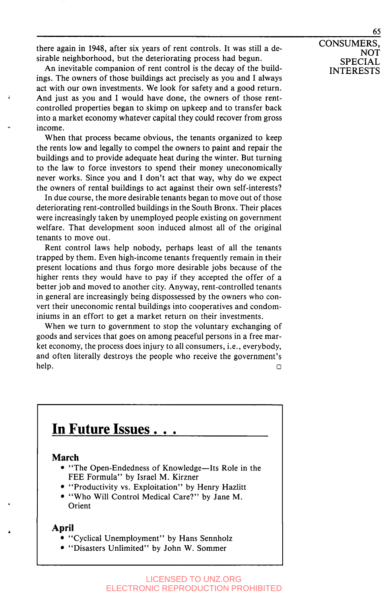there again in **1948,** after six years of rent controls. It was still a desirable neighborhood, but the deteriorating process had begun.

An inevitable companion of rent control is the decay of the buildings. The owners of those buildings act precisely as you and I always act with our own investments. We look for safety and a good return. And just as you and I would have done, the owners of those rentcontrolled properties began to skimp on upkeep and to transfer back into a market economy whatever capital they could recover from gross income.

When that process became obvious, the tenants organized to keep the rents low and legally to compel the owners to paint and repair the buildings and to provide adequate heat during the winter. But turning to the law to force investors to spend their money uneconomically never works. Since you and I don't act that way, why do we expect the owners of rental buildings to act against their own self-interests?

In due course, the more desirable tenants began to move out of those deteriorating rent-controlled buildings in the South Bronx. Their places were increasingly taken by unemployed people existing on government welfare. That development soon induced almost all of the original tenants to move out.

Rent control laws help nobody, perhaps least of all the tenants trapped by them. Even high-income tenants frequently remain in their present locations and thus forgo more desirable jobs because of the higher rents they would have to pay if they accepted the offer of a better job and moved to another city. Anyway, rent-controlled tenants in general are increasingly being dispossessed by the owners who convert their uneconomic rental buildings into cooperatives and condominiums in an effort to get a market return on their investments.

When we turn to government to stop the voluntary exchanging of goods and services that goes on among peaceful persons in a free market economy, the process does injury to all consumers, i.e., everybody, and often literally destroys the people who receive the government's  $h$ elp.  $\Box$ 



## **In Future Issues**

## **March**

- "The Open-Endedness of Knowledge—Its Role in the FEE Formula" by Israel M. Kirzner
- "Productivity vs. Exploitation" by Henry Hazlitt
- "Who Will Control Medical Care?" by Jane M. **Orient**

## **April**

- "Cyclical Unemployment" by Hans Sennholz
- "Disasters Unlimited" by John W. Sommer